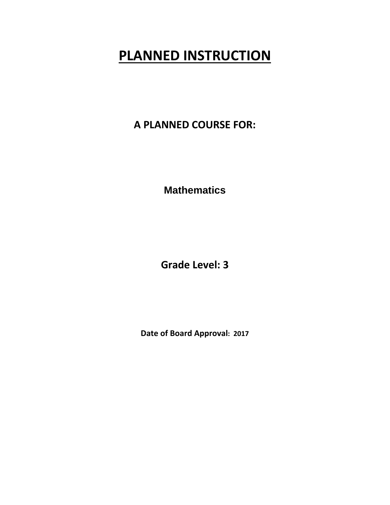**A PLANNED COURSE FOR:**

**Mathematics** 

**Grade Level: 3**

**Date of Board Approval: 2017**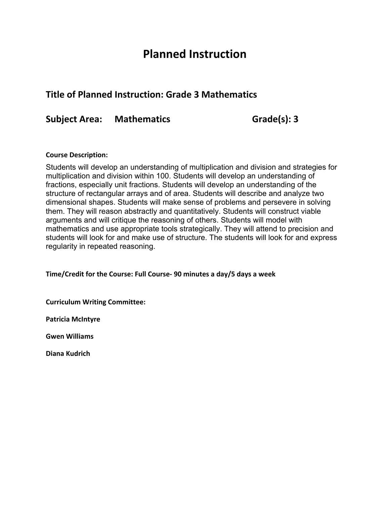## **Planned Instruction**

## **Title of Planned Instruction: Grade 3 Mathematics**

**Subject Area: Mathematics Grade(s): 3**

### **Course Description:**

Students will develop an understanding of multiplication and division and strategies for multiplication and division within 100. Students will develop an understanding of fractions, especially unit fractions. Students will develop an understanding of the structure of rectangular arrays and of area. Students will describe and analyze two dimensional shapes. Students will make sense of problems and persevere in solving them. They will reason abstractly and quantitatively. Students will construct viable arguments and will critique the reasoning of others. Students will model with mathematics and use appropriate tools strategically. They will attend to precision and students will look for and make use of structure. The students will look for and express regularity in repeated reasoning.

**Time/Credit for the Course: Full Course‐ 90 minutes a day/5 days a week** 

**Curriculum Writing Committee:** 

**Patricia McIntyre**

**Gwen Williams**

**Diana Kudrich**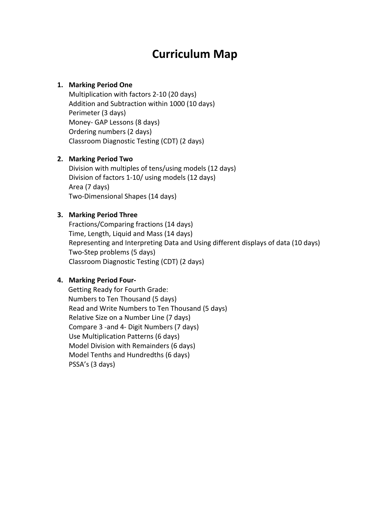## **Curriculum Map**

## **1. Marking Period One**

Multiplication with factors 2‐10 (20 days) Addition and Subtraction within 1000 (10 days) Perimeter (3 days) Money‐ GAP Lessons (8 days) Ordering numbers (2 days) Classroom Diagnostic Testing (CDT) (2 days)

## **2. Marking Period Two**

Division with multiples of tens/using models (12 days) Division of factors 1‐10/ using models (12 days) Area (7 days) Two‐Dimensional Shapes (14 days)

## **3. Marking Period Three**

Fractions/Comparing fractions (14 days) Time, Length, Liquid and Mass (14 days) Representing and Interpreting Data and Using different displays of data (10 days) Two‐Step problems (5 days) Classroom Diagnostic Testing (CDT) (2 days)

## **4. Marking Period Four‐**

Getting Ready for Fourth Grade: Numbers to Ten Thousand (5 days) Read and Write Numbers to Ten Thousand (5 days) Relative Size on a Number Line (7 days) Compare 3 ‐and 4‐ Digit Numbers (7 days) Use Multiplication Patterns (6 days) Model Division with Remainders (6 days) Model Tenths and Hundredths (6 days) PSSA's (3 days)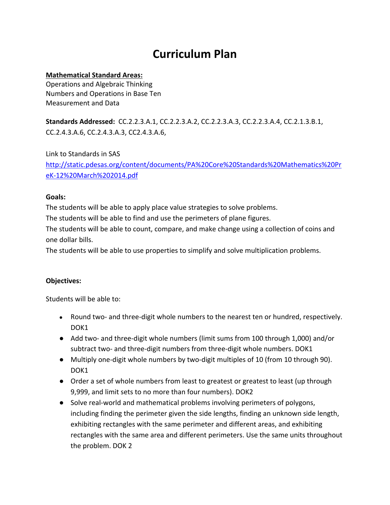## **Curriculum Plan**

## **Mathematical Standard Areas:**

Operations and Algebraic Thinking Numbers and Operations in Base Ten Measurement and Data

**Standards Addressed:** CC.2.2.3.A.1, CC.2.2.3.A.2, CC.2.2.3.A.3, CC.2.2.3.A.4, CC.2.1.3.B.1, CC.2.4.3.A.6, CC.2.4.3.A.3, CC2.4.3.A.6,

Link to Standards in SAS http://static.pdesas.org/content/documents/PA%20Core%20Standards%20Mathematics%20Pr eK‐12%20March%202014.pdf

### **Goals:**

The students will be able to apply place value strategies to solve problems.

The students will be able to find and use the perimeters of plane figures.

The students will be able to count, compare, and make change using a collection of coins and one dollar bills.

The students will be able to use properties to simplify and solve multiplication problems.

## **Objectives:**

- Round two- and three-digit whole numbers to the nearest ten or hundred, respectively. DOK<sub>1</sub>
- Add two- and three-digit whole numbers (limit sums from 100 through 1,000) and/or subtract two- and three-digit numbers from three-digit whole numbers. DOK1
- Multiply one-digit whole numbers by two-digit multiples of 10 (from 10 through 90). DOK<sub>1</sub>
- Order a set of whole numbers from least to greatest or greatest to least (up through 9,999, and limit sets to no more than four numbers). DOK2
- Solve real-world and mathematical problems involving perimeters of polygons, including finding the perimeter given the side lengths, finding an unknown side length, exhibiting rectangles with the same perimeter and different areas, and exhibiting rectangles with the same area and different perimeters. Use the same units throughout the problem. DOK 2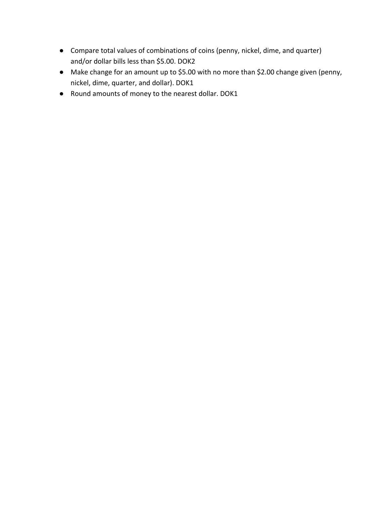- Compare total values of combinations of coins (penny, nickel, dime, and quarter) and/or dollar bills less than \$5.00. DOK2
- Make change for an amount up to \$5.00 with no more than \$2.00 change given (penny, nickel, dime, quarter, and dollar). DOK1
- Round amounts of money to the nearest dollar. DOK1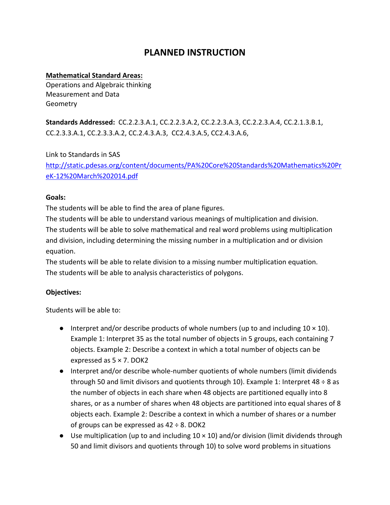## **Mathematical Standard Areas:**

Operations and Algebraic thinking Measurement and Data Geometry

**Standards Addressed:** CC.2.2.3.A.1, CC.2.2.3.A.2, CC.2.2.3.A.3, CC.2.2.3.A.4, CC.2.1.3.B.1, CC.2.3.3.A.1, CC.2.3.3.A.2, CC.2.4.3.A.3, CC2.4.3.A.5, CC2.4.3.A.6,

Link to Standards in SAS

http://static.pdesas.org/content/documents/PA%20Core%20Standards%20Mathematics%20Pr eK‐12%20March%202014.pdf

### **Goals:**

The students will be able to find the area of plane figures.

The students will be able to understand various meanings of multiplication and division. The students will be able to solve mathematical and real word problems using multiplication and division, including determining the missing number in a multiplication and or division equation.

The students will be able to relate division to a missing number multiplication equation. The students will be able to analysis characteristics of polygons.

## **Objectives:**

- $\bullet$  Interpret and/or describe products of whole numbers (up to and including  $10 \times 10$ ). Example 1: Interpret 35 as the total number of objects in 5 groups, each containing 7 objects. Example 2: Describe a context in which a total number of objects can be expressed as 5 × 7. DOK2
- Interpret and/or describe whole-number quotients of whole numbers (limit dividends through 50 and limit divisors and quotients through 10). Example 1: Interpret 48  $\div$  8 as the number of objects in each share when 48 objects are partitioned equally into 8 shares, or as a number of shares when 48 objects are partitioned into equal shares of 8 objects each. Example 2: Describe a context in which a number of shares or a number of groups can be expressed as  $42 \div 8$ . DOK2
- Use multiplication (up to and including  $10 \times 10$ ) and/or division (limit dividends through 50 and limit divisors and quotients through 10) to solve word problems in situations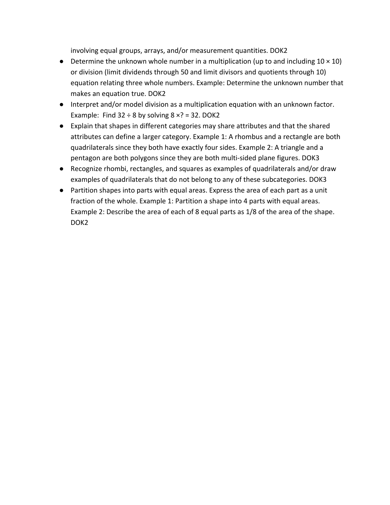involving equal groups, arrays, and/or measurement quantities. DOK2

- Determine the unknown whole number in a multiplication (up to and including  $10 \times 10$ ) or division (limit dividends through 50 and limit divisors and quotients through 10) equation relating three whole numbers. Example: Determine the unknown number that makes an equation true. DOK2
- Interpret and/or model division as a multiplication equation with an unknown factor. Example: Find  $32 \div 8$  by solving  $8 \times ? = 32$ . DOK2
- Explain that shapes in different categories may share attributes and that the shared attributes can define a larger category. Example 1: A rhombus and a rectangle are both quadrilaterals since they both have exactly four sides. Example 2: A triangle and a pentagon are both polygons since they are both multi‐sided plane figures. DOK3
- Recognize rhombi, rectangles, and squares as examples of quadrilaterals and/or draw examples of quadrilaterals that do not belong to any of these subcategories. DOK3
- Partition shapes into parts with equal areas. Express the area of each part as a unit fraction of the whole. Example 1: Partition a shape into 4 parts with equal areas. Example 2: Describe the area of each of 8 equal parts as 1/8 of the area of the shape. DOK<sub>2</sub>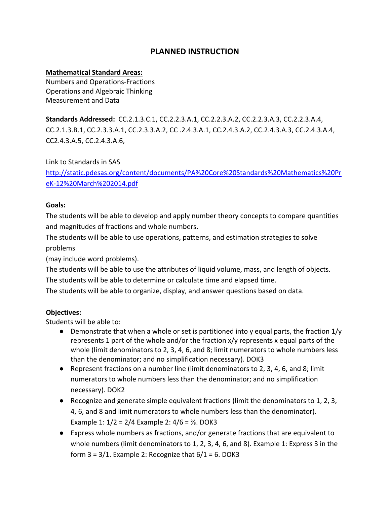## **Mathematical Standard Areas:**

Numbers and Operations‐Fractions Operations and Algebraic Thinking Measurement and Data

**Standards Addressed:** CC.2.1.3.C.1, CC.2.2.3.A.1, CC.2.2.3.A.2, CC.2.2.3.A.3, CC.2.2.3.A.4, CC.2.1.3.B.1, CC.2.3.3.A.1, CC.2.3.3.A.2, CC .2.4.3.A.1, CC.2.4.3.A.2, CC.2.4.3.A.3, CC.2.4.3.A.4, CC2.4.3.A.5, CC.2.4.3.A.6,

Link to Standards in SAS

http://static.pdesas.org/content/documents/PA%20Core%20Standards%20Mathematics%20Pr eK‐12%20March%202014.pdf

### **Goals:**

The students will be able to develop and apply number theory concepts to compare quantities and magnitudes of fractions and whole numbers.

The students will be able to use operations, patterns, and estimation strategies to solve problems

(may include word problems).

The students will be able to use the attributes of liquid volume, mass, and length of objects.

The students will be able to determine or calculate time and elapsed time.

The students will be able to organize, display, and answer questions based on data.

### **Objectives:**

- Demonstrate that when a whole or set is partitioned into y equal parts, the fraction  $1/\gamma$ represents 1 part of the whole and/or the fraction x/y represents x equal parts of the whole (limit denominators to 2, 3, 4, 6, and 8; limit numerators to whole numbers less than the denominator; and no simplification necessary). DOK3
- Represent fractions on a number line (limit denominators to 2, 3, 4, 6, and 8; limit numerators to whole numbers less than the denominator; and no simplification necessary). DOK2
- Recognize and generate simple equivalent fractions (limit the denominators to 1, 2, 3, 4, 6, and 8 and limit numerators to whole numbers less than the denominator). Example 1: 1/2 = 2/4 Example 2: 4/6 = ⅔. DOK3
- Express whole numbers as fractions, and/or generate fractions that are equivalent to whole numbers (limit denominators to 1, 2, 3, 4, 6, and 8). Example 1: Express 3 in the form  $3 = 3/1$ . Example 2: Recognize that  $6/1 = 6$ . DOK3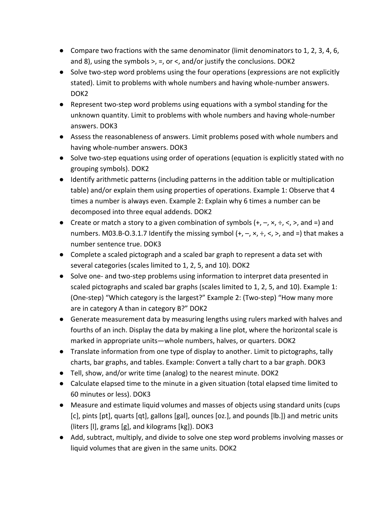- Compare two fractions with the same denominator (limit denominators to 1, 2, 3, 4, 6, and 8), using the symbols  $>$ ,  $=$ , or  $\lt$ , and/or justify the conclusions. DOK2
- Solve two-step word problems using the four operations (expressions are not explicitly stated). Limit to problems with whole numbers and having whole‐number answers. DOK2
- Represent two-step word problems using equations with a symbol standing for the unknown quantity. Limit to problems with whole numbers and having whole‐number answers. DOK3
- Assess the reasonableness of answers. Limit problems posed with whole numbers and having whole‐number answers. DOK3
- Solve two-step equations using order of operations (equation is explicitly stated with no grouping symbols). DOK2
- Identify arithmetic patterns (including patterns in the addition table or multiplication table) and/or explain them using properties of operations. Example 1: Observe that 4 times a number is always even. Example 2: Explain why 6 times a number can be decomposed into three equal addends. DOK2
- Create or match a story to a given combination of symbols  $(+, -, \times, \div, <)$ , and =) and numbers. M03.B-O.3.1.7 Identify the missing symbol  $(+, -, \times, \div, <, >)$ , and =) that makes a number sentence true. DOK3
- Complete a scaled pictograph and a scaled bar graph to represent a data set with several categories (scales limited to 1, 2, 5, and 10). DOK2
- Solve one- and two-step problems using information to interpret data presented in scaled pictographs and scaled bar graphs (scales limited to 1, 2, 5, and 10). Example 1: (One‐step) "Which category is the largest?" Example 2: (Two‐step) "How many more are in category A than in category B?" DOK2
- Generate measurement data by measuring lengths using rulers marked with halves and fourths of an inch. Display the data by making a line plot, where the horizontal scale is marked in appropriate units—whole numbers, halves, or quarters. DOK2
- Translate information from one type of display to another. Limit to pictographs, tally charts, bar graphs, and tables. Example: Convert a tally chart to a bar graph. DOK3
- Tell, show, and/or write time (analog) to the nearest minute. DOK2
- Calculate elapsed time to the minute in a given situation (total elapsed time limited to 60 minutes or less). DOK3
- Measure and estimate liquid volumes and masses of objects using standard units (cups [c], pints [pt], quarts [qt], gallons [gal], ounces [oz.], and pounds [lb.]) and metric units (liters [l], grams [g], and kilograms [kg]). DOK3
- Add, subtract, multiply, and divide to solve one step word problems involving masses or liquid volumes that are given in the same units. DOK2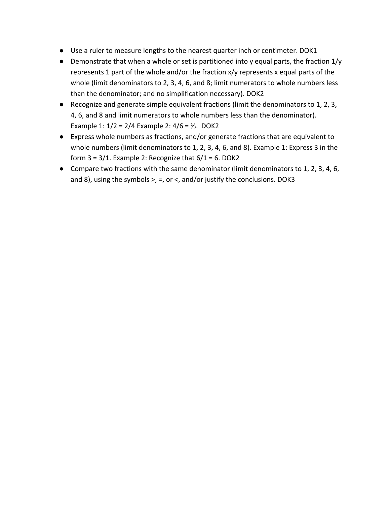- Use a ruler to measure lengths to the nearest quarter inch or centimeter. DOK1
- Demonstrate that when a whole or set is partitioned into y equal parts, the fraction 1/y represents 1 part of the whole and/or the fraction x/y represents x equal parts of the whole (limit denominators to 2, 3, 4, 6, and 8; limit numerators to whole numbers less than the denominator; and no simplification necessary). DOK2
- Recognize and generate simple equivalent fractions (limit the denominators to 1, 2, 3, 4, 6, and 8 and limit numerators to whole numbers less than the denominator). Example 1: 1/2 = 2/4 Example 2: 4/6 = ⅔. DOK2
- Express whole numbers as fractions, and/or generate fractions that are equivalent to whole numbers (limit denominators to 1, 2, 3, 4, 6, and 8). Example 1: Express 3 in the form  $3 = 3/1$ . Example 2: Recognize that  $6/1 = 6$ . DOK2
- Compare two fractions with the same denominator (limit denominators to 1, 2, 3, 4, 6, and 8), using the symbols  $>$ , =, or <, and/or justify the conclusions. DOK3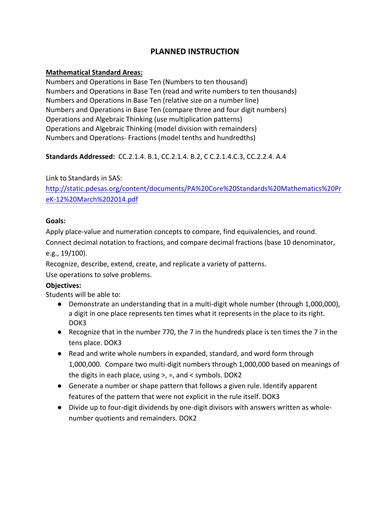## **Mathematical Standard Areas:**

Numbers and Operations in Base Ten (Numbers to ten thousand) Numbers and Operations in Base Ten (read and write numbers to ten thousands) Numbers and Operations in Base Ten (relative size on a number line) Numbers and Operations in Base Ten (compare three and four digit numbers) Operations and Algebraic Thinking (use multiplication patterns) Operations and Algebraic Thinking (model division with remainders) Numbers and Operations‐ Fractions (model tenths and hundredths)

## **Standards Addressed:** CC.2.1.4. B.1, CC.2.1.4. B.2, C C.2.1.4.C.3, CC.2.2.4. A.4

## Link to Standards in SAS:

http://static.pdesas.org/content/documents/PA%20Core%20Standards%20Mathematics%20Pr eK‐12%20March%202014.pdf

### **Goals:**

Apply place‐value and numeration concepts to compare, find equivalencies, and round.

Connect decimal notation to fractions, and compare decimal fractions (base 10 denominator, e.g., 19/100).

Recognize, describe, extend, create, and replicate a variety of patterns.

Use operations to solve problems.

## **Objectives:**

- Demonstrate an understanding that in a multi-digit whole number (through 1,000,000), a digit in one place represents ten times what it represents in the place to its right. DOK3
- Recognize that in the number 770, the 7 in the hundreds place is ten times the 7 in the tens place. DOK3
- Read and write whole numbers in expanded, standard, and word form through 1,000,000. Compare two multi‐digit numbers through 1,000,000 based on meanings of the digits in each place, using >, =, and < symbols. DOK2
- Generate a number or shape pattern that follows a given rule. Identify apparent features of the pattern that were not explicit in the rule itself. DOK3
- Divide up to four-digit dividends by one-digit divisors with answers written as wholenumber quotients and remainders. DOK2